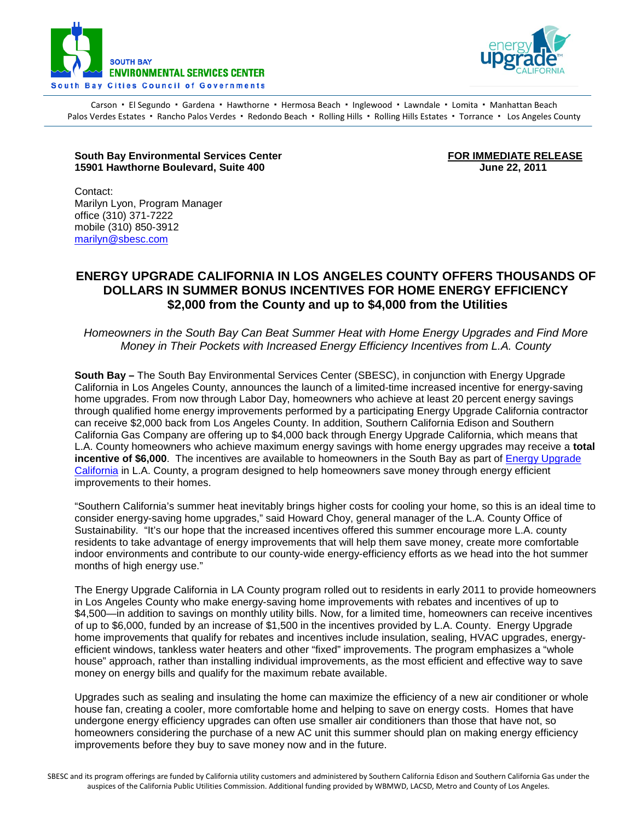



Carson · El Segundo · Gardena · Hawthorne · Hermosa Beach · Inglewood · Lawndale · Lomita · Manhattan Beach Palos Verdes Estates · Rancho Palos Verdes · Redondo Beach · Rolling Hills · Rolling Hills Estates · Torrance · Los Angeles County

## **South Bay Environmental Services Center Ford Content Content Content Content Content Content Content Content C**<br>15901 Hawthorne Boulevard. Suite 400 **15901 Hawthorne Boulevard, Suite 400**

Contact: Marilyn Lyon, Program Manager office (310) 371-7222 mobile (310) 850-3912 [marilyn@sbesc.com](mailto:marilyn@sbesc.com)

## **ENERGY UPGRADE CALIFORNIA IN LOS ANGELES COUNTY OFFERS THOUSANDS OF DOLLARS IN SUMMER BONUS INCENTIVES FOR HOME ENERGY EFFICIENCY \$2,000 from the County and up to \$4,000 from the Utilities**

*Homeowners in the South Bay Can Beat Summer Heat with Home Energy Upgrades and Find More Money in Their Pockets with Increased Energy Efficiency Incentives from L.A. County*

**South Bay –** The South Bay Environmental Services Center (SBESC), in conjunction with Energy Upgrade California in Los Angeles County, announces the launch of a limited-time increased incentive for energy-saving home upgrades. From now through Labor Day, homeowners who achieve at least 20 percent energy savings through qualified home energy improvements performed by a participating Energy Upgrade California contractor can receive \$2,000 back from Los Angeles County. In addition, Southern California Edison and Southern California Gas Company are offering up to \$4,000 back through Energy Upgrade California, which means that L.A. County homeowners who achieve maximum energy savings with home energy upgrades may receive a **total incentive of \$6,000**. The incentives are available to homeowners in the South Bay as part of [Energy Upgrade](https://energyupgradeca.org/county/los_angeles/overview)  [California](https://energyupgradeca.org/county/los_angeles/overview) in L.A. County, a program designed to help homeowners save money through energy efficient improvements to their homes.

"Southern California's summer heat inevitably brings higher costs for cooling your home, so this is an ideal time to consider energy-saving home upgrades," said Howard Choy, general manager of the L.A. County Office of Sustainability. "It's our hope that the increased incentives offered this summer encourage more L.A. county residents to take advantage of energy improvements that will help them save money, create more comfortable indoor environments and contribute to our county-wide energy-efficiency efforts as we head into the hot summer months of high energy use."

The Energy Upgrade California in LA County program rolled out to residents in early 2011 to provide homeowners in Los Angeles County who make energy-saving home improvements with rebates and incentives of up to \$4,500—in addition to savings on monthly utility bills. Now, for a limited time, homeowners can receive incentives of up to \$6,000, funded by an increase of \$1,500 in the incentives provided by L.A. County. Energy Upgrade home improvements that qualify for rebates and incentives include insulation, sealing, HVAC upgrades, energyefficient windows, tankless water heaters and other "fixed" improvements. The program emphasizes a "whole house" approach, rather than installing individual improvements, as the most efficient and effective way to save money on energy bills and qualify for the maximum rebate available.

Upgrades such as sealing and insulating the home can maximize the efficiency of a new air conditioner or whole house fan, creating a cooler, more comfortable home and helping to save on energy costs. Homes that have undergone energy efficiency upgrades can often use smaller air conditioners than those that have not, so homeowners considering the purchase of a new AC unit this summer should plan on making energy efficiency improvements before they buy to save money now and in the future.